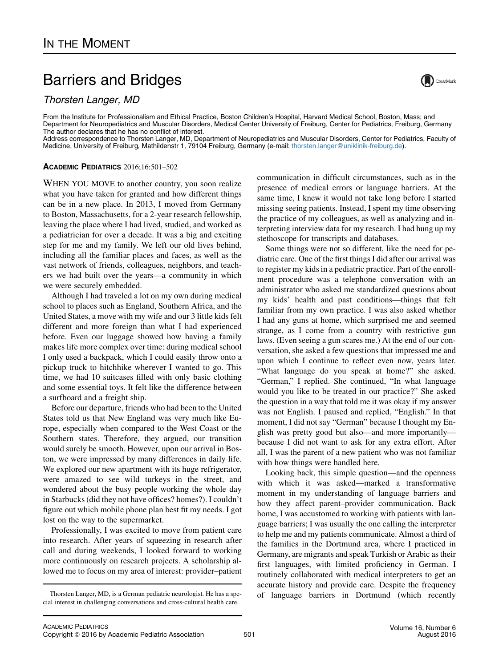## Barriers and Bridges

Thorsten Langer, MD

From the Institute for Professionalism and Ethical Practice, Boston Children's Hospital, Harvard Medical School, Boston, Mass; and Department for Neuropediatrics and Muscular Disorders, Medical Center University of Freiburg, Center for Pediatrics, Freiburg, Germany The author declares that he has no conflict of interest.

Address correspondence to Thorsten Langer, MD, Department of Neuropediatrics and Muscular Disorders, Center for Pediatrics, Faculty of Medicine, University of Freiburg, Mathildenstr 1, 79104 Freiburg, Germany (e-mail: [thorsten.langer@uniklinik-freiburg.de\)](mailto:thorsten.langer@uniklinik-freiburg.de).

## ACADEMIC PEDIATRICS 2016;16:501–502

WHEN YOU MOVE to another country, you soon realize what you have taken for granted and how different things can be in a new place. In 2013, I moved from Germany to Boston, Massachusetts, for a 2-year research fellowship, leaving the place where I had lived, studied, and worked as a pediatrician for over a decade. It was a big and exciting step for me and my family. We left our old lives behind, including all the familiar places and faces, as well as the vast network of friends, colleagues, neighbors, and teachers we had built over the years—a community in which we were securely embedded.

Although I had traveled a lot on my own during medical school to places such as England, Southern Africa, and the United States, a move with my wife and our 3 little kids felt different and more foreign than what I had experienced before. Even our luggage showed how having a family makes life more complex over time: during medical school I only used a backpack, which I could easily throw onto a pickup truck to hitchhike wherever I wanted to go. This time, we had 10 suitcases filled with only basic clothing and some essential toys. It felt like the difference between a surfboard and a freight ship.

Before our departure, friends who had been to the United States told us that New England was very much like Europe, especially when compared to the West Coast or the Southern states. Therefore, they argued, our transition would surely be smooth. However, upon our arrival in Boston, we were impressed by many differences in daily life. We explored our new apartment with its huge refrigerator, were amazed to see wild turkeys in the street, and wondered about the busy people working the whole day in Starbucks (did they not have offices? homes?). I couldn't figure out which mobile phone plan best fit my needs. I got lost on the way to the supermarket.

Professionally, I was excited to move from patient care into research. After years of squeezing in research after call and during weekends, I looked forward to working more continuously on research projects. A scholarship allowed me to focus on my area of interest: provider–patient

communication in difficult circumstances, such as in the presence of medical errors or language barriers. At the same time, I knew it would not take long before I started missing seeing patients. Instead, I spent my time observing the practice of my colleagues, as well as analyzing and interpreting interview data for my research. I had hung up my stethoscope for transcripts and databases.

Some things were not so different, like the need for pediatric care. One of the first things I did after our arrival was to register my kids in a pediatric practice. Part of the enrollment procedure was a telephone conversation with an administrator who asked me standardized questions about my kids' health and past conditions—things that felt familiar from my own practice. I was also asked whether I had any guns at home, which surprised me and seemed strange, as I come from a country with restrictive gun laws. (Even seeing a gun scares me.) At the end of our conversation, she asked a few questions that impressed me and upon which I continue to reflect even now, years later. "What language do you speak at home?" she asked. "German," I replied. She continued, "In what language would you like to be treated in our practice?" She asked the question in a way that told me it was okay if my answer was not English. I paused and replied, "English." In that moment, I did not say "German" because I thought my English was pretty good but also—and more importantly because I did not want to ask for any extra effort. After all, I was the parent of a new patient who was not familiar with how things were handled here.

Looking back, this simple question—and the openness with which it was asked—marked a transformative moment in my understanding of language barriers and how they affect parent–provider communication. Back home, I was accustomed to working with patients with language barriers; I was usually the one calling the interpreter to help me and my patients communicate. Almost a third of the families in the Dortmund area, where I practiced in Germany, are migrants and speak Turkish or Arabic as their first languages, with limited proficiency in German. I routinely collaborated with medical interpreters to get an accurate history and provide care. Despite the frequency Thorsten Langer, MD, is a German pediatric neurologist. He has a spe- of language barriers in Dortmund (which recently



cial interest in challenging conversations and cross-cultural health care.